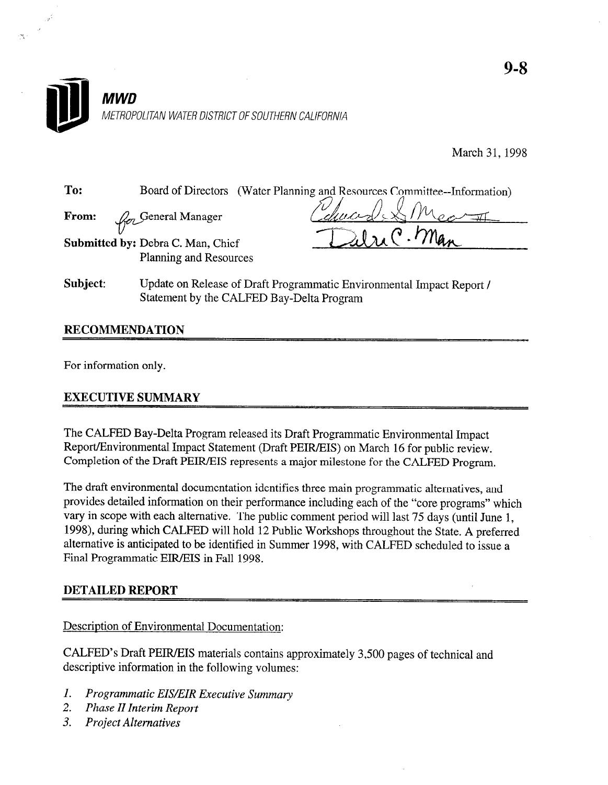

March 31, 1998

To: Board of Directors (Water Planning and Resources Committee--Information)

From:  $U$ <sup>-</sup> **General Manager** 

Submitted by: Debra C. Man, Chief Planning and Resources

Subject: Update on Release of Draft Programmatic Environmental Impact Report / Statement by the CALFED Bay-Delta Program

# RECOMMENDATION

For information only.

# EXECUTIVE SUMMARY

The CALFED Bay-Delta Program released its Draft Programmatic Environmental Impact Report/Environmental Impact Statement (Draft PEIR/EIS) on March 16 for public review. Completion of the Draft PEIR/EIS represents a major milestone for the CALFED Program.

The draft environmental documentation identifies three main programmatic alternatives, and provides detailed information on their performance including each of the "core programs" which vary in scope with each alternative. The public comment period will last 75 days (until June 1, 1998), during which CALFED will hold 12 Public Workshops throughout the State. A preferred alternative is anticipated to be identified in Summer 1998, with CALFED scheduled to issue a Final Programmatic EIR/EIS in Fall 1998.

# DETAILED REPORT

#### Description of Environmental Documentation:

CALFED's Draft PEIR/EIS materials contains approximately 3,500 pages of technical and descriptive information in the following volumes:

- 1. Programmatic EIS/EIR Executive Summary
- 2. Phase II Interim Report
- 3. Project Alternatives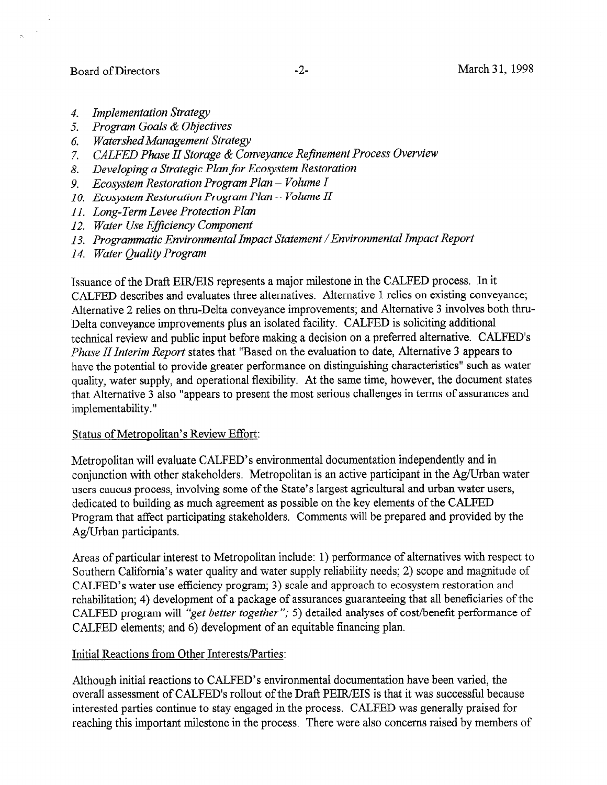Board of Directors -2- March 31, 1998

 $\overline{a}$ 

- 4. Implementation Strategy
- 5. Program Goals & Objectives
- 6. WatershedManagement Strategy
- 7. CALFED Phase II Storage & Conveyance Refinement Process Overview
- 8. Developing a Strategic Plan for Ecosystem Restoration
- 9. Ecosystem Restoration Program Plan Volume I
- IO. Ecosystem Restoration Program Plan Volume II
- 11. Long-Term Levee Protection Plan
- 12. Water Use Efficiency Component
- 13. Programmatic Environmental Impact Statement /Environmental Impact Report
- 14. Water Quality Program

Issuance of the Draft EWEIS represents a major milestone in the CALFED process. In it CALFED describes and evaluates three alternatives. Alternative 1 relies on existing conveyance; Alternative 2 relies on thru-Delta conveyance improvements; and Alternative 3 involves both thru-Delta conveyance improvements plus an isolated facility. CALFED is soliciting additional technical review and public input before making a decision on a preferred alternative. CALFED's Phase II Interim Report states that "Based on the evaluation to date, Alternative 3 appears to have the potential to provide greater performance on distinguishing characteristics" such as water quality, water supply, and operational flexibility. At the same time, however, the document states that Alternative 3 also "appears to present the most serious challenges in terms of assurances and implementability. "

#### Status of Metropolitan's Review Effort:

Metropolitan will evaluate CALFED's environmental documentation independently and in conjunction with other stakeholders. Metropolitan is an active participant in the Ag/Urban water users caucus process, involving some of the State's largest agricultural and urban water users, dedicated to building as much agreement as possible on the key elements of the CALFED Program that affect participating stakeholders. Comments will be prepared and provided by the Ag/Urban participants.

Areas of particular interest to Metropolitan include: 1) performance of alternatives with respect to Southern California's water quality and water supply reliability needs; 2) scope and magnitude of CALFED's water use efficiency program; 3) scale and approach to ecosystem restoration and rehabilitation; 4) development of a package of assurances guaranteeing that all beneficiaries of the CALFED program will "get better together "; 5) detailed analyses of cost/benefit performance of CALFED elements; and 6) development of an equitable financing plan.

#### Initial Reactions from Other Interests/Parties:

Although initial reactions to CALFED's environmental documentation have been varied, the overall assessment of CALFED's rollout of the Draft PEIR/EIS is that it was successful because interested parties continue to stay engaged in the process. CALFED was generally praised for reaching this important milestone in the process. There were also concerns raised by members of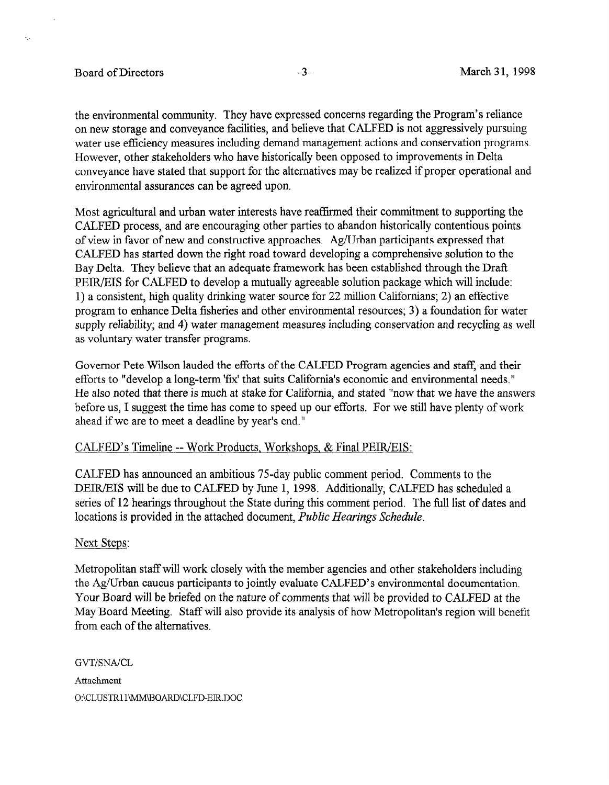### Board of Directors **-3**- All the March 31, 1998

A,

the environmental community. They have expressed concerns regarding the Program's reliance on new storage and conveyance facilities, and believe that CALFED is not aggressively pursuing water use efficiency measures including demand management actions and conservation programs. However, other stakeholders who have historically been opposed to improvements in Delta conveyance have stated that support for the alternatives may be realized if proper operational and environmental assurances can be agreed upon.

Most agricultural and urban water interests have reaffirmed their commitment to supporting the CALFED process, and are encouraging other parties to abandon historically contentious points of view in favor of new and constructive approaches. Ag/Urban participants expressed that CALFED has started down the right road toward developing a comprehensive solution to the Bay Delta. They believe that an adequate framework has been established through the Drafi PEIR/EIS for CALFED to develop a mutually agreeable solution package which will include: 1) a consistent, high quality drinking water source for 22 million Californians; 2) an effective program to enhance Delta fisheries and other environmental resources; 3) a foundation for water supply reliability; and 4) water management measures including conservation and recycling as well as voluntary water transfer programs.

Governor Pete Wilson lauded the efforts of the CALFED Program agencies and staff, and their efforts to "develop a long-term 'fix' that suits California's economic and environmental needs." enotes to novel the also note that the state stated that successive and structure intervention inclusion.  $\frac{1}{2}$  also hotel that there is much at stake for california, and stated thow that we have the allsweight before us, I suggest the time has come to speed up our efforts. For we still have plenty of work ahead if we are to meet a deadline by year's end."

### CALFED's Timeline -- Work Products, Workshops, & Final PEIR/EIS:

CALFED has announced an ambitious 75day public comment period. Comments to the CALFED has announced an amontous  $75$ -day public comment period. Comments to the DEIR/EIS will be due to CALFED by June 1, 1998. Additionally, CALFED has scheduled a series of 12 hearings throughout the State during this comment period. The full list of dates and locations is provided in the attached document, Public Hearings Schedule.

Metropolitan staff will work closely with the member agencies and other stakeholders including the Ag/Urban caucus participants to jointly evaluate CALFED's environmental documentation. Your Board will be briefed on the nature of comments that will be provided to CALFED at the May Board Meeting. Staff will also provide its analysis of how Metropolitan's region will benefit from each of the alternatives.

**GVT/SNA/CL** Attachment O:\CLUSTR11\MM\BOARD\CLFD-EIR.DOC